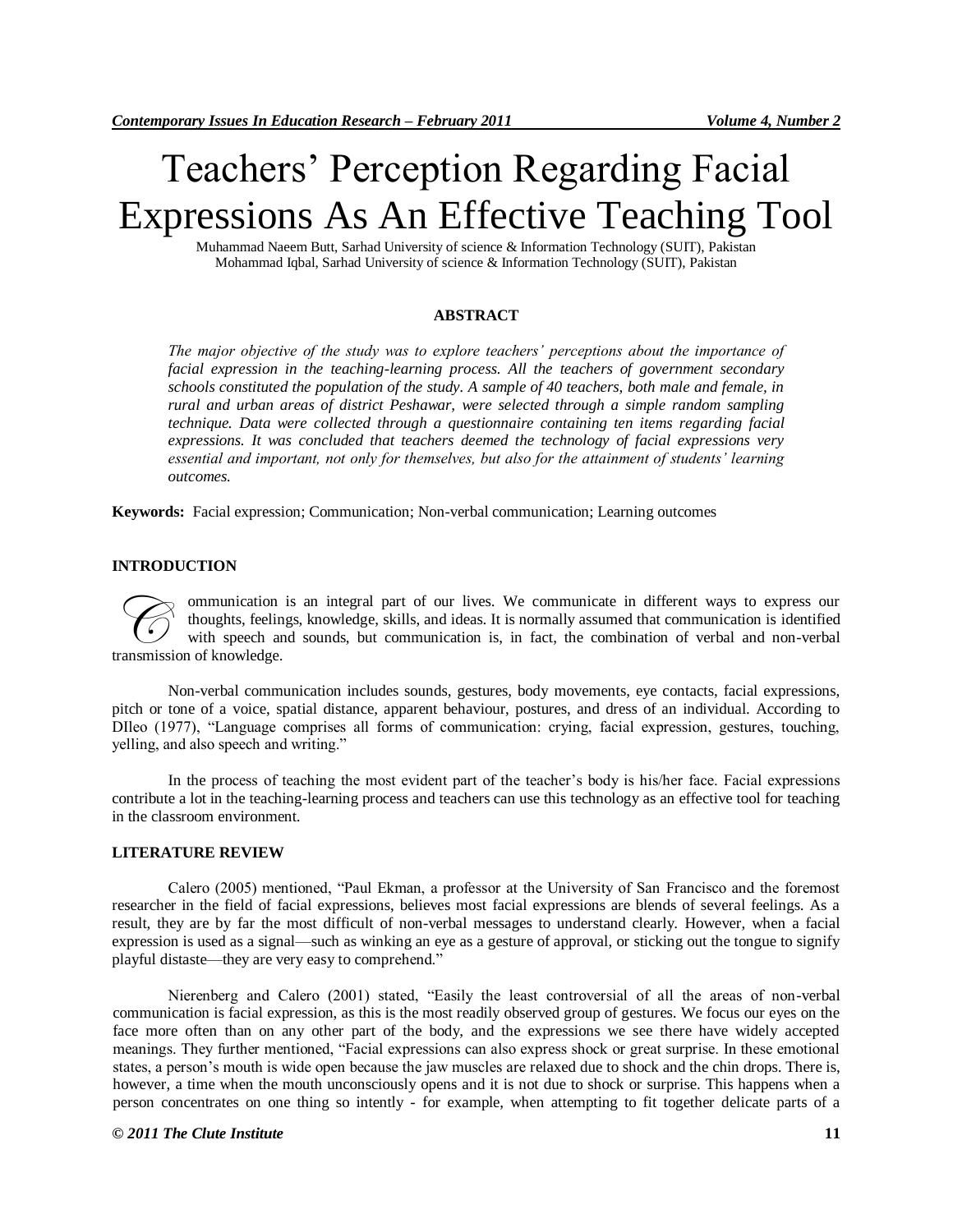# Teachers' Perception Regarding Facial Expressions As An Effective Teaching Tool

Muhammad Naeem Butt, Sarhad University of science & Information Technology (SUIT), Pakistan Mohammad Iqbal, Sarhad University of science & Information Technology (SUIT), Pakistan

## **ABSTRACT**

*The major objective of the study was to explore teachers' perceptions about the importance of facial expression in the teaching-learning process. All the teachers of government secondary schools constituted the population of the study. A sample of 40 teachers, both male and female, in rural and urban areas of district Peshawar, were selected through a simple random sampling technique. Data were collected through a questionnaire containing ten items regarding facial expressions. It was concluded that teachers deemed the technology of facial expressions very essential and important, not only for themselves, but also for the attainment of students' learning outcomes.*

**Keywords:** Facial expression; Communication; Non-verbal communication; Learning outcomes

#### **INTRODUCTION**

ommunication is an integral part of our lives. We communicate in different ways to express our thoughts, feelings, knowledge, skills, and ideas. It is normally assumed that communication is identified with speech and sounds, but communication is, in fact, the combination of verbal and non-verbal **Examplemental manufacture of thoughts, feeling**<br>transmission of knowledge.

Non-verbal communication includes sounds, gestures, body movements, eye contacts, facial expressions, pitch or tone of a voice, spatial distance, apparent behaviour, postures, and dress of an individual. According to DIleo (1977), "Language comprises all forms of communication: crying, facial expression, gestures, touching, yelling, and also speech and writing."

In the process of teaching the most evident part of the teacher's body is his/her face. Facial expressions contribute a lot in the teaching-learning process and teachers can use this technology as an effective tool for teaching in the classroom environment.

# **LITERATURE REVIEW**

Calero (2005) mentioned, "Paul Ekman, a professor at the University of San Francisco and the foremost researcher in the field of facial expressions, believes most facial expressions are blends of several feelings. As a result, they are by far the most difficult of non-verbal messages to understand clearly. However, when a facial expression is used as a signal—such as winking an eye as a gesture of approval, or sticking out the tongue to signify playful distaste—they are very easy to comprehend."

Nierenberg and Calero (2001) stated, "Easily the least controversial of all the areas of non-verbal communication is facial expression, as this is the most readily observed group of gestures. We focus our eyes on the face more often than on any other part of the body, and the expressions we see there have widely accepted meanings. They further mentioned, "Facial expressions can also express shock or great surprise. In these emotional states, a person's mouth is wide open because the jaw muscles are relaxed due to shock and the chin drops. There is, however, a time when the mouth unconsciously opens and it is not due to shock or surprise. This happens when a person concentrates on one thing so intently - for example, when attempting to fit together delicate parts of a

#### *© 2011 The Clute Institute* **11**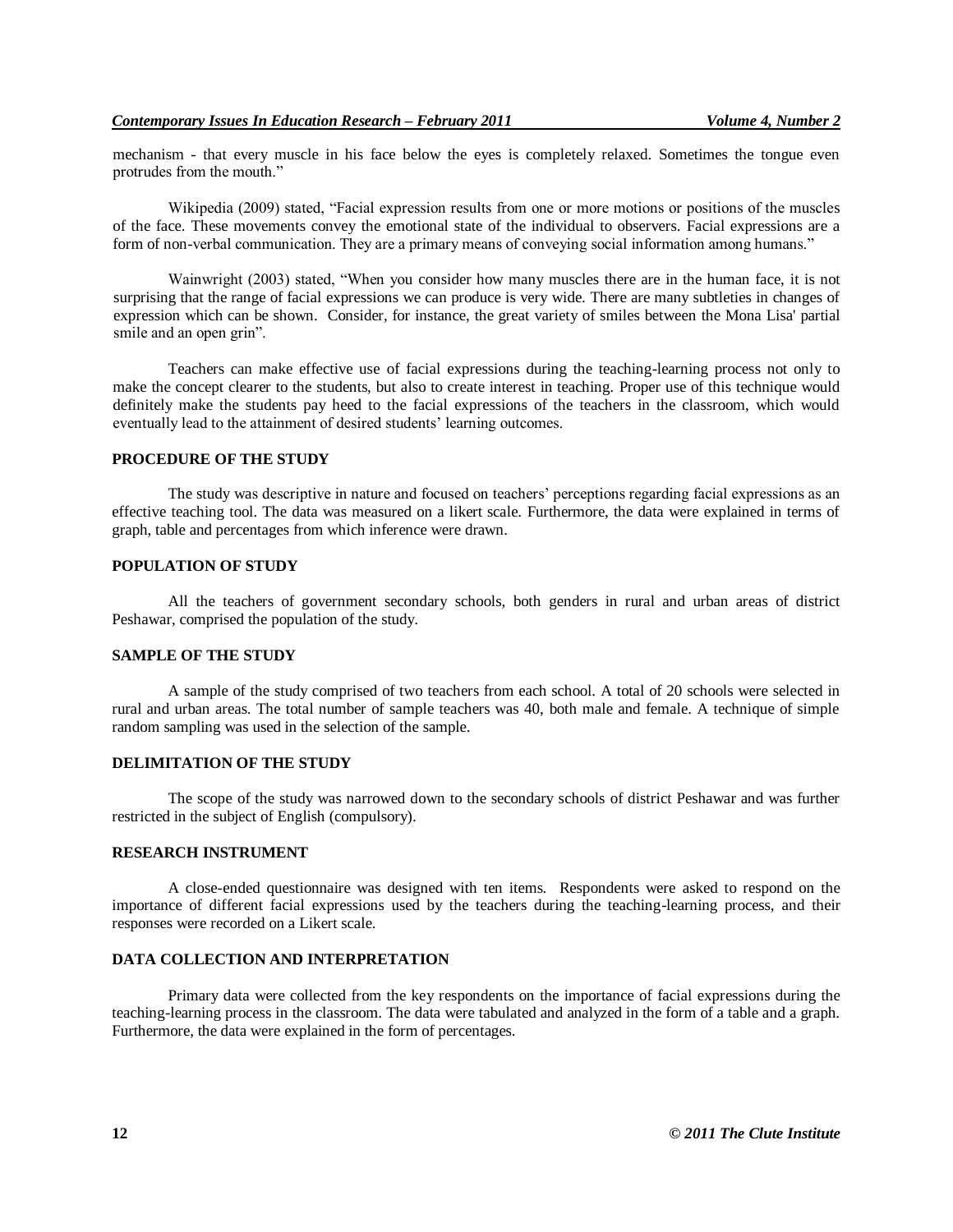mechanism - that every muscle in his face below the eyes is completely relaxed. Sometimes the tongue even protrudes from the mouth."

Wikipedia (2009) stated, "Facial expression results from one or more motions or positions of the muscles of the face. These movements convey the emotional state of the individual to observers. Facial expressions are a form of non-verbal communication. They are a primary means of conveying social information among humans."

Wainwright (2003) stated, "When you consider how many muscles there are in the human face, it is not surprising that the range of facial expressions we can produce is very wide. There are many subtleties in changes of expression which can be shown. Consider, for instance, the great variety of smiles between the Mona Lisa' partial smile and an open grin".

Teachers can make effective use of facial expressions during the teaching-learning process not only to make the concept clearer to the students, but also to create interest in teaching. Proper use of this technique would definitely make the students pay heed to the facial expressions of the teachers in the classroom, which would eventually lead to the attainment of desired students' learning outcomes.

# **PROCEDURE OF THE STUDY**

The study was descriptive in nature and focused on teachers' perceptions regarding facial expressions as an effective teaching tool. The data was measured on a likert scale. Furthermore, the data were explained in terms of graph, table and percentages from which inference were drawn.

### **POPULATION OF STUDY**

All the teachers of government secondary schools, both genders in rural and urban areas of district Peshawar, comprised the population of the study.

#### **SAMPLE OF THE STUDY**

A sample of the study comprised of two teachers from each school. A total of 20 schools were selected in rural and urban areas. The total number of sample teachers was 40, both male and female. A technique of simple random sampling was used in the selection of the sample.

# **DELIMITATION OF THE STUDY**

The scope of the study was narrowed down to the secondary schools of district Peshawar and was further restricted in the subject of English (compulsory).

#### **RESEARCH INSTRUMENT**

A close-ended questionnaire was designed with ten items. Respondents were asked to respond on the importance of different facial expressions used by the teachers during the teaching-learning process, and their responses were recorded on a Likert scale.

#### **DATA COLLECTION AND INTERPRETATION**

Primary data were collected from the key respondents on the importance of facial expressions during the teaching-learning process in the classroom. The data were tabulated and analyzed in the form of a table and a graph. Furthermore, the data were explained in the form of percentages.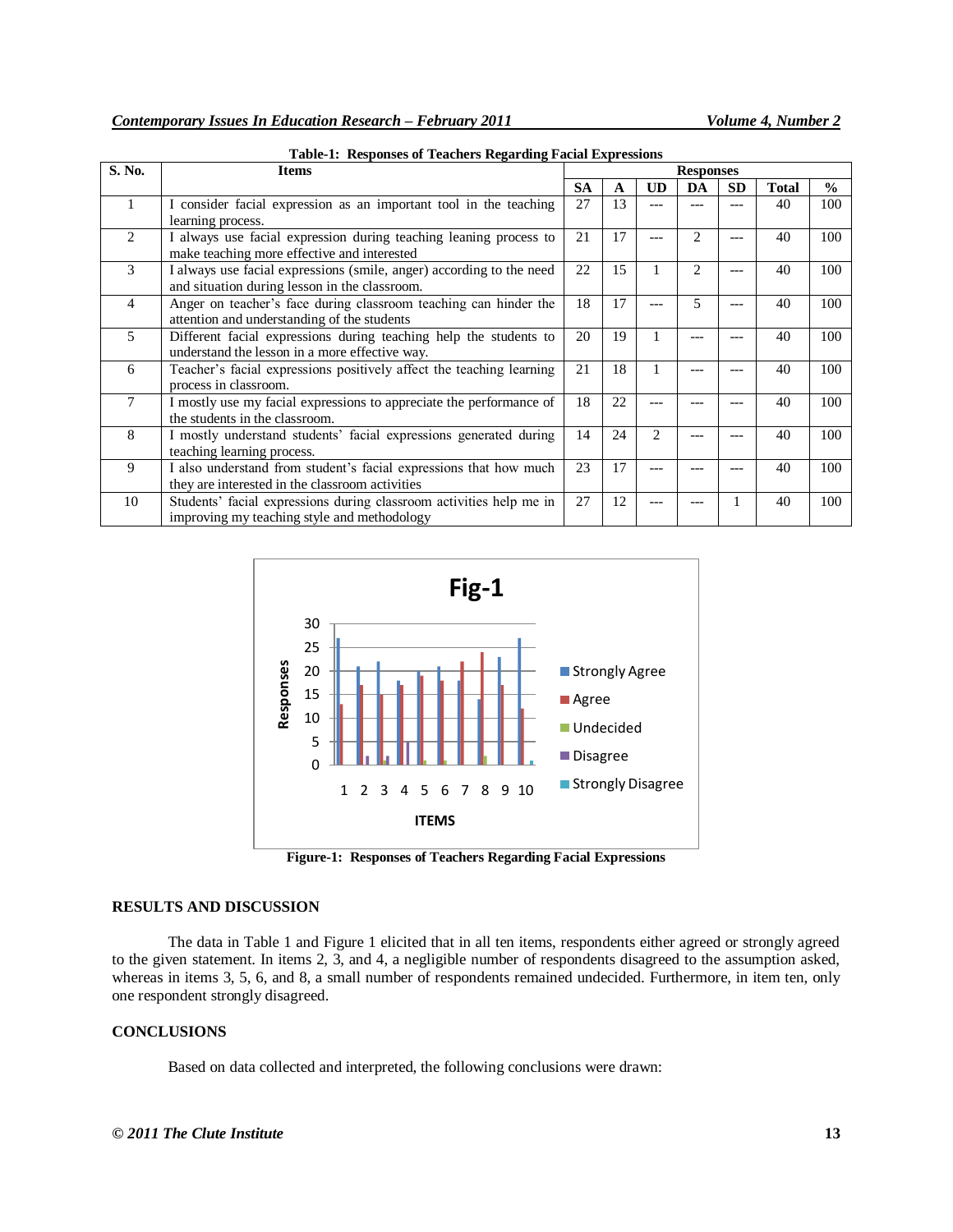| S. No.         | <b>Items</b>                                                                                                          | <b>Responses</b> |    |                |                |           |              |               |
|----------------|-----------------------------------------------------------------------------------------------------------------------|------------------|----|----------------|----------------|-----------|--------------|---------------|
|                |                                                                                                                       | <b>SA</b>        | A  | <b>UD</b>      | DA             | <b>SD</b> | <b>Total</b> | $\frac{0}{0}$ |
| 1              | I consider facial expression as an important tool in the teaching<br>learning process.                                | 27               | 13 | ---            |                | ---       | 40           | 100           |
| $\overline{c}$ | I always use facial expression during teaching leaning process to<br>make teaching more effective and interested      | 21               | 17 | ---            | $\mathfrak{D}$ | ---       | 40           | 100           |
| 3              | I always use facial expressions (smile, anger) according to the need<br>and situation during lesson in the classroom. | 22               | 15 |                | $\mathfrak{D}$ | ---       | 40           | 100           |
| 4              | Anger on teacher's face during classroom teaching can hinder the<br>attention and understanding of the students       | 18               | 17 | ---            | $\overline{5}$ | ---       | 40           | 100           |
| 5              | Different facial expressions during teaching help the students to<br>understand the lesson in a more effective way.   | 20               | 19 |                |                | ---       | 40           | 100           |
| 6              | Teacher's facial expressions positively affect the teaching learning<br>process in classroom.                         | 21               | 18 |                |                | ---       | 40           | 100           |
| $\tau$         | I mostly use my facial expressions to appreciate the performance of<br>the students in the classroom.                 | 18               | 22 |                |                |           | 40           | 100           |
| 8              | I mostly understand students' facial expressions generated during<br>teaching learning process.                       | 14               | 24 | $\mathfrak{D}$ |                |           | 40           | 100           |
| 9              | I also understand from student's facial expressions that how much<br>they are interested in the classroom activities  | 23               | 17 |                |                | ---       | 40           | 100           |
| 10             | Students' facial expressions during classroom activities help me in<br>improving my teaching style and methodology    | 27               | 12 |                |                |           | 40           | 100           |

**Table-1: Responses of Teachers Regarding Facial Expressions**



**Figure-1: Responses of Teachers Regarding Facial Expressions**

# **RESULTS AND DISCUSSION**

The data in Table 1 and Figure 1 elicited that in all ten items, respondents either agreed or strongly agreed to the given statement. In items 2, 3, and 4, a negligible number of respondents disagreed to the assumption asked, whereas in items 3, 5, 6, and 8, a small number of respondents remained undecided. Furthermore, in item ten, only one respondent strongly disagreed.

### **CONCLUSIONS**

Based on data collected and interpreted, the following conclusions were drawn: